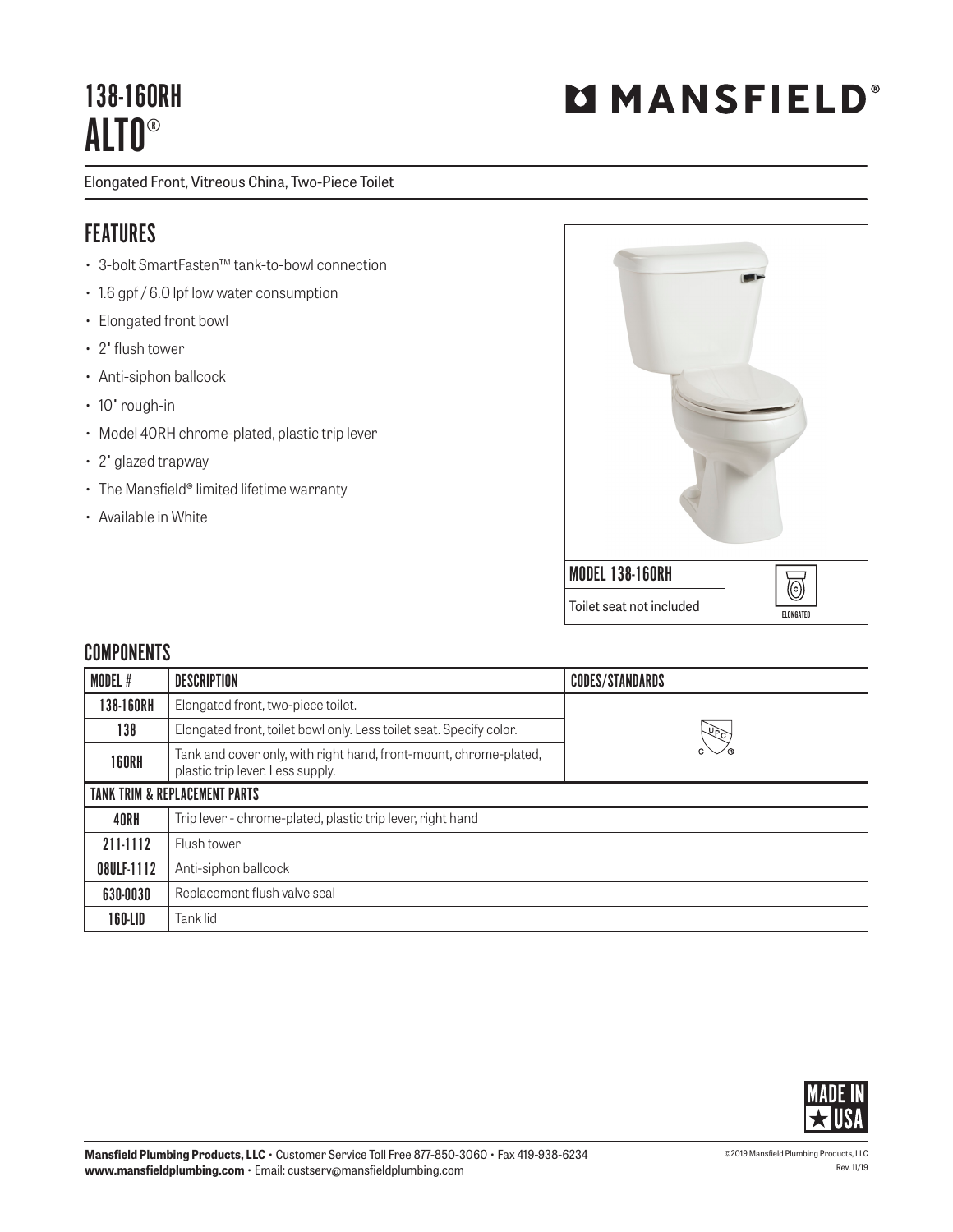## 138-160RH ALTO®

Elongated Front, Vitreous China, Two-Piece Toilet

## **FEATURES**

- 3-bolt SmartFasten™ tank-to-bowl connection
- 1.6 gpf / 6.0 lpf low water consumption
- Elongated front bowl
- 2" flush tower
- Anti-siphon ballcock
- 10" rough-in
- Model 40RH chrome-plated, plastic trip lever
- 2" glazed trapway
- The Mansfield® limited lifetime warranty
- Available in White



## **COMPONENTS**

| MODEL #                                  | <b>DESCRIPTION</b>                                                                                    | <b>CODES/STANDARDS</b> |  |
|------------------------------------------|-------------------------------------------------------------------------------------------------------|------------------------|--|
| 138-160RH                                | Elongated front, two-piece toilet.                                                                    |                        |  |
| 138                                      | Elongated front, toilet bowl only. Less toilet seat. Specify color.                                   | $\sqrt{2}$             |  |
| <b>160RH</b>                             | Tank and cover only, with right hand, front-mount, chrome-plated,<br>plastic trip lever. Less supply. |                        |  |
| <b>TANK TRIM &amp; REPLACEMENT PARTS</b> |                                                                                                       |                        |  |
| 40RH                                     | Trip lever - chrome-plated, plastic trip lever, right hand                                            |                        |  |
| 211-1112                                 | Flush tower                                                                                           |                        |  |
| 08ULF-1112                               | Anti-siphon ballcock                                                                                  |                        |  |
| 630-0030                                 | Replacement flush valve seal                                                                          |                        |  |
| 160-LID                                  | Tank lid                                                                                              |                        |  |